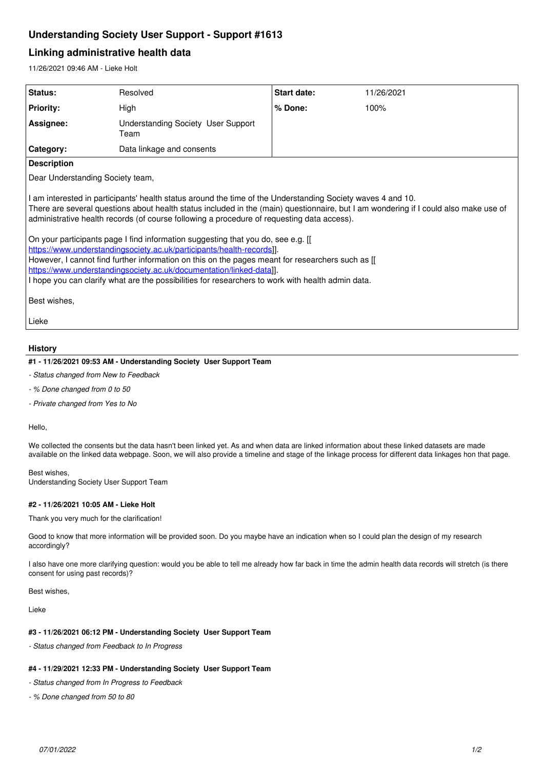# **Understanding Society User Support - Support #1613**

# **Linking administrative health data**

11/26/2021 09:46 AM - Lieke Holt

| <b>Status:</b>                                                                                                                                                                                                                                                                                                                                                                                                                                                                                                                                                                                                                                                                                                                                                                                                 | Resolved                                          | Start date: | 11/26/2021 |
|----------------------------------------------------------------------------------------------------------------------------------------------------------------------------------------------------------------------------------------------------------------------------------------------------------------------------------------------------------------------------------------------------------------------------------------------------------------------------------------------------------------------------------------------------------------------------------------------------------------------------------------------------------------------------------------------------------------------------------------------------------------------------------------------------------------|---------------------------------------------------|-------------|------------|
| <b>Priority:</b>                                                                                                                                                                                                                                                                                                                                                                                                                                                                                                                                                                                                                                                                                                                                                                                               | High                                              | % Done:     | 100%       |
| Assignee:                                                                                                                                                                                                                                                                                                                                                                                                                                                                                                                                                                                                                                                                                                                                                                                                      | <b>Understanding Society User Support</b><br>Team |             |            |
| <b>Category:</b>                                                                                                                                                                                                                                                                                                                                                                                                                                                                                                                                                                                                                                                                                                                                                                                               | Data linkage and consents                         |             |            |
| <b>Description</b>                                                                                                                                                                                                                                                                                                                                                                                                                                                                                                                                                                                                                                                                                                                                                                                             |                                                   |             |            |
| Dear Understanding Society team,                                                                                                                                                                                                                                                                                                                                                                                                                                                                                                                                                                                                                                                                                                                                                                               |                                                   |             |            |
| I am interested in participants' health status around the time of the Understanding Society waves 4 and 10.<br>There are several questions about health status included in the (main) questionnaire, but I am wondering if I could also make use of<br>administrative health records (of course following a procedure of requesting data access).<br>On your participants page I find information suggesting that you do, see e.g. [[<br>https://www.understandingsociety.ac.uk/participants/health-records]].<br>However, I cannot find further information on this on the pages meant for researchers such as [[<br>https://www.understandingsociety.ac.uk/documentation/linked-data]].<br>I hope you can clarify what are the possibilities for researchers to work with health admin data.<br>Best wishes, |                                                   |             |            |
| Lieke                                                                                                                                                                                                                                                                                                                                                                                                                                                                                                                                                                                                                                                                                                                                                                                                          |                                                   |             |            |

### **History**

### **#1 - 11/26/2021 09:53 AM - Understanding Society User Support Team**

- *Status changed from New to Feedback*
- *% Done changed from 0 to 50*
- *Private changed from Yes to No*

Hello,

We collected the consents but the data hasn't been linked yet. As and when data are linked information about these linked datasets are made available on the linked data webpage. Soon, we will also provide a timeline and stage of the linkage process for different data linkages hon that page.

Best wishes, Understanding Society User Support Team

### **#2 - 11/26/2021 10:05 AM - Lieke Holt**

Thank you very much for the clarification!

Good to know that more information will be provided soon. Do you maybe have an indication when so I could plan the design of my research accordingly?

I also have one more clarifying question: would you be able to tell me already how far back in time the admin health data records will stretch (is there consent for using past records)?

Best wishes,

Lieke

#### **#3 - 11/26/2021 06:12 PM - Understanding Society User Support Team**

*- Status changed from Feedback to In Progress*

### **#4 - 11/29/2021 12:33 PM - Understanding Society User Support Team**

*- Status changed from In Progress to Feedback*

*- % Done changed from 50 to 80*